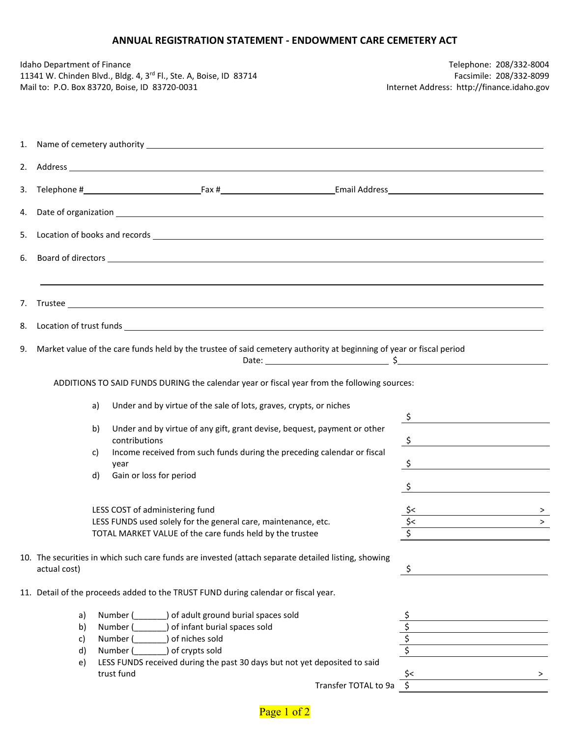## **ANNUAL REGISTRATION STATEMENT - ENDOWMENT CARE CEMETERY ACT**

| Idaho Department of Finance | 11341 W. Chinden Blvd., Bldg. 4, 3 <sup>rd</sup> Fl., Ste. A, Boise, ID 83714<br>Mail to: P.O. Box 83720, Boise, ID 83720-0031                                                                                                                                                                                     |                                 | Telephone: 208/332-8004<br>Facsimile: 208/332-8099<br>Internet Address: http://finance.idaho.gov                               |
|-----------------------------|--------------------------------------------------------------------------------------------------------------------------------------------------------------------------------------------------------------------------------------------------------------------------------------------------------------------|---------------------------------|--------------------------------------------------------------------------------------------------------------------------------|
|                             |                                                                                                                                                                                                                                                                                                                    |                                 |                                                                                                                                |
|                             |                                                                                                                                                                                                                                                                                                                    |                                 |                                                                                                                                |
|                             |                                                                                                                                                                                                                                                                                                                    |                                 |                                                                                                                                |
|                             |                                                                                                                                                                                                                                                                                                                    |                                 |                                                                                                                                |
|                             |                                                                                                                                                                                                                                                                                                                    |                                 |                                                                                                                                |
|                             |                                                                                                                                                                                                                                                                                                                    |                                 |                                                                                                                                |
|                             |                                                                                                                                                                                                                                                                                                                    |                                 |                                                                                                                                |
|                             |                                                                                                                                                                                                                                                                                                                    |                                 |                                                                                                                                |
| a)                          | 9. Market value of the care funds held by the trustee of said cemetery authority at beginning of year or fiscal period<br>Date: $\frac{1}{2}$<br>ADDITIONS TO SAID FUNDS DURING the calendar year or fiscal year from the following sources:<br>Under and by virtue of the sale of lots, graves, crypts, or niches |                                 |                                                                                                                                |
| b)<br>c)<br>d)              | Under and by virtue of any gift, grant devise, bequest, payment or other<br>contributions<br>Income received from such funds during the preceding calendar or fiscal<br>year<br>Gain or loss for period                                                                                                            | $\ddot{\zeta}$<br>$\frac{1}{2}$ | <u> 1989 - Andrea State Barbara, político e a filosofono de la filosofono de la filosofono de la filosofono de l</u><br>$\sim$ |
|                             | LESS COST of administering fund<br>LESS FUNDS used solely for the general care, maintenance, etc.<br>TOTAL MARKET VALUE of the care funds held by the trustee                                                                                                                                                      |                                 | ><br>$\geq$                                                                                                                    |
| actual cost)                | 10. The securities in which such care funds are invested (attach separate detailed listing, showing                                                                                                                                                                                                                | \$                              |                                                                                                                                |
|                             | 11. Detail of the proceeds added to the TRUST FUND during calendar or fiscal year.                                                                                                                                                                                                                                 |                                 |                                                                                                                                |
| a)<br>b)<br>c)<br>d)<br>e)  | of adult ground burial spaces sold<br>Number (<br>of infant burial spaces sold<br>Number (<br>Number (<br>of niches sold<br>) of crypts sold<br>Number (<br>LESS FUNDS received during the past 30 days but not yet deposited to said<br>trust fund                                                                | \$                              | >                                                                                                                              |
|                             | Transfer TOTAL to 9a                                                                                                                                                                                                                                                                                               |                                 |                                                                                                                                |